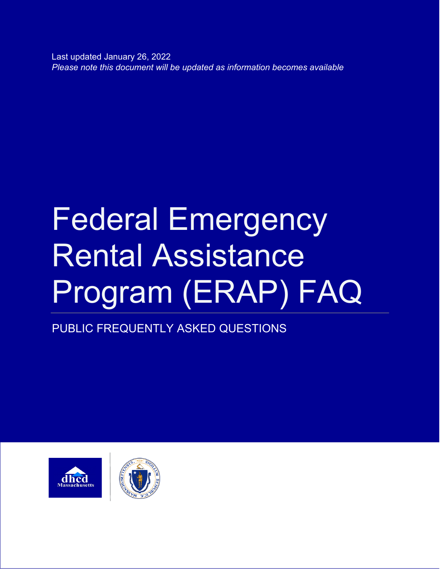Last updated January 26, 2022 *Please note this document will be updated as information becomes available*

# Federal Emergency Rental Assistance Program (ERAP) FAQ

PUBLIC FREQUENTLY ASKED QUESTIONS



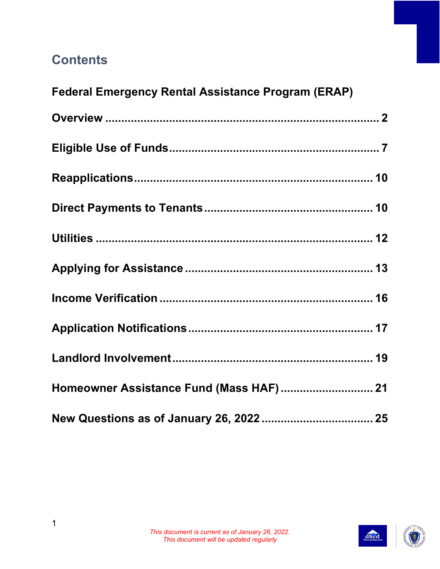## **Contents**

| <b>Federal Emergency Rental Assistance Program (ERAP)</b> |  |
|-----------------------------------------------------------|--|
|                                                           |  |
|                                                           |  |
|                                                           |  |
|                                                           |  |
|                                                           |  |
|                                                           |  |
|                                                           |  |
|                                                           |  |
|                                                           |  |
| Homeowner Assistance Fund (Mass HAF)  21                  |  |
|                                                           |  |

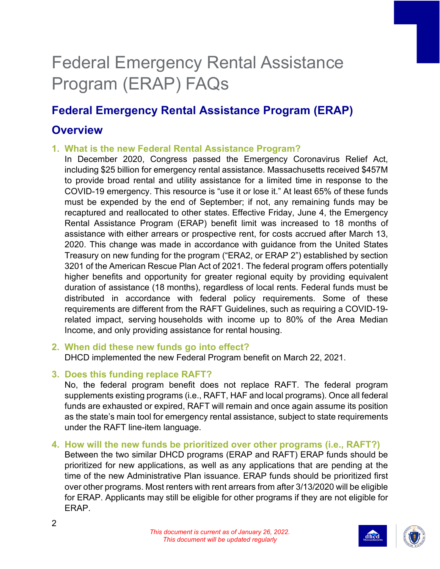## Federal Emergency Rental Assistance Program (ERAP) FAQs

## <span id="page-2-0"></span>**Federal Emergency Rental Assistance Program (ERAP)**

### **Overview**

#### **1. What is the new Federal Rental Assistance Program?**

In December 2020, Congress passed the Emergency Coronavirus Relief Act, including \$25 billion for emergency rental assistance. Massachusetts received \$457M to provide broad rental and utility assistance for a limited time in response to the COVID-19 emergency. This resource is "use it or lose it." At least 65% of these funds must be expended by the end of September; if not, any remaining funds may be recaptured and reallocated to other states. Effective Friday, June 4, the Emergency Rental Assistance Program (ERAP) benefit limit was increased to 18 months of assistance with either arrears or prospective rent, for costs accrued after March 13, 2020. This change was made in accordance with guidance from the United States Treasury on new funding for the program ("ERA2, or ERAP 2") established by section 3201 of the American Rescue Plan Act of 2021. The federal program offers potentially higher benefits and opportunity for greater regional equity by providing equivalent duration of assistance (18 months), regardless of local rents. Federal funds must be distributed in accordance with federal policy requirements. Some of these requirements are different from the RAFT Guidelines, such as requiring a COVID-19 related impact, serving households with income up to 80% of the Area Median Income, and only providing assistance for rental housing.

#### **2. When did these new funds go into effect?** DHCD implemented the new Federal Program benefit on March 22, 2021.

#### **3. Does this funding replace RAFT?**

No, the federal program benefit does not replace RAFT. The federal program supplements existing programs (i.e., RAFT, HAF and local programs). Once all federal funds are exhausted or expired, RAFT will remain and once again assume its position as the state's main tool for emergency rental assistance, subject to state requirements under the RAFT line-item language.

## **4. How will the new funds be prioritized over other programs (i.e., RAFT?)**

Between the two similar DHCD programs (ERAP and RAFT) ERAP funds should be prioritized for new applications, as well as any applications that are pending at the time of the new Administrative Plan issuance. ERAP funds should be prioritized first over other programs. Most renters with rent arrears from after 3/13/2020 will be eligible for ERAP. Applicants may still be eligible for other programs if they are not eligible for ERAP.



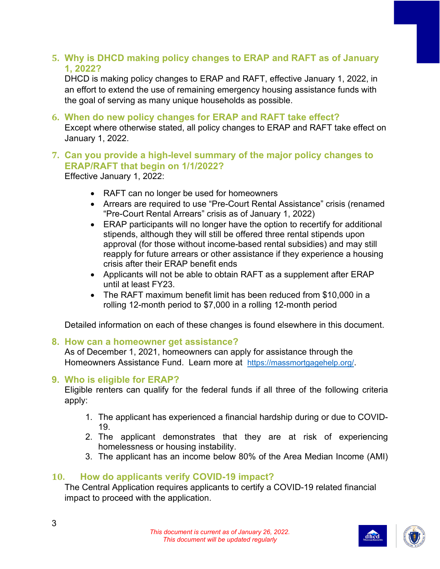#### **5. Why is DHCD making policy changes to ERAP and RAFT as of January 1, 2022?**

DHCD is making policy changes to ERAP and RAFT, effective January 1, 2022, in an effort to extend the use of remaining emergency housing assistance funds with the goal of serving as many unique households as possible.

**6. When do new policy changes for ERAP and RAFT take effect?** Except where otherwise stated, all policy changes to ERAP and RAFT take effect on January 1, 2022.

#### **7. Can you provide a high-level summary of the major policy changes to ERAP/RAFT that begin on 1/1/2022?**

Effective January 1, 2022:

- RAFT can no longer be used for homeowners
- Arrears are required to use "Pre-Court Rental Assistance" crisis (renamed "Pre-Court Rental Arrears" crisis as of January 1, 2022)
- ERAP participants will no longer have the option to recertify for additional stipends, although they will still be offered three rental stipends upon approval (for those without income-based rental subsidies) and may still reapply for future arrears or other assistance if they experience a housing crisis after their ERAP benefit ends
- Applicants will not be able to obtain RAFT as a supplement after ERAP until at least FY23.
- The RAFT maximum benefit limit has been reduced from \$10,000 in a rolling 12-month period to \$7,000 in a rolling 12-month period

Detailed information on each of these changes is found elsewhere in this document.

#### **8. How can a homeowner get assistance?**

As of December 1, 2021, homeowners can apply for assistance through the Homeowners Assistance Fund. Learn more at [https://massmortgagehelp.org/.](https://massmortgagehelp.org/)

#### **9. Who is eligible for ERAP?**

Eligible renters can qualify for the federal funds if all three of the following criteria apply:

- 1. The applicant has experienced a financial hardship during or due to COVID-19.
- 2. The applicant demonstrates that they are at risk of experiencing homelessness or housing instability.
- 3. The applicant has an income below 80% of the Area Median Income (AMI)

#### **10. How do applicants verify COVID-19 impact?**

The Central Application requires applicants to certify a COVID-19 related financial impact to proceed with the application.



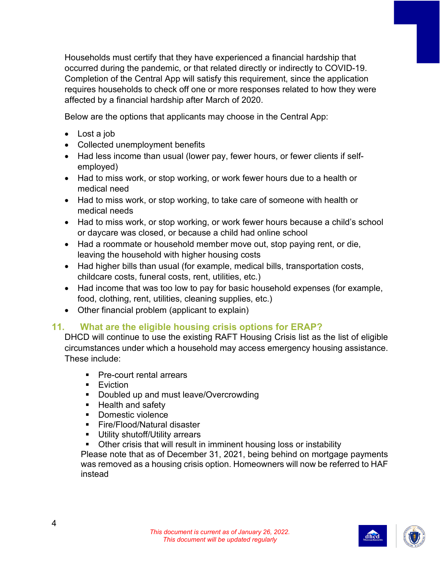Households must certify that they have experienced a financial hardship that occurred during the pandemic, or that related directly or indirectly to COVID-19. Completion of the Central App will satisfy this requirement, since the application requires households to check off one or more responses related to how they were affected by a financial hardship after March of 2020.

Below are the options that applicants may choose in the Central App:

- Lost a job
- Collected unemployment benefits
- Had less income than usual (lower pay, fewer hours, or fewer clients if selfemployed)
- Had to miss work, or stop working, or work fewer hours due to a health or medical need
- Had to miss work, or stop working, to take care of someone with health or medical needs
- Had to miss work, or stop working, or work fewer hours because a child's school or daycare was closed, or because a child had online school
- Had a roommate or household member move out, stop paying rent, or die, leaving the household with higher housing costs
- Had higher bills than usual (for example, medical bills, transportation costs, childcare costs, funeral costs, rent, utilities, etc.)
- Had income that was too low to pay for basic household expenses (for example, food, clothing, rent, utilities, cleaning supplies, etc.)
- Other financial problem (applicant to explain)

#### **11. What are the eligible housing crisis options for ERAP?**

DHCD will continue to use the existing RAFT Housing Crisis list as the list of eligible circumstances under which a household may access emergency housing assistance. These include:

- **Pre-court rental arrears**
- **Eviction**
- **Doubled up and must leave/Overcrowding**
- **Health and safety**
- Domestic violence
- Fire/Flood/Natural disaster
- **Utility shutoff/Utility arrears**
- Other crisis that will result in imminent housing loss or instability

Please note that as of December 31, 2021, being behind on mortgage payments was removed as a housing crisis option. Homeowners will now be referred to HAF instead



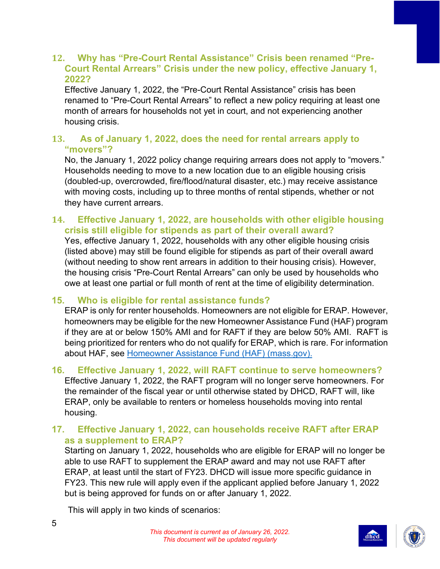#### **12. Why has "Pre-Court Rental Assistance" Crisis been renamed "Pre-Court Rental Arrears" Crisis under the new policy, effective January 1, 2022?**

Effective January 1, 2022, the "Pre-Court Rental Assistance" crisis has been renamed to "Pre-Court Rental Arrears" to reflect a new policy requiring at least one month of arrears for households not yet in court, and not experiencing another housing crisis.

#### **13. As of January 1, 2022, does the need for rental arrears apply to "movers"?**

No, the January 1, 2022 policy change requiring arrears does not apply to "movers." Households needing to move to a new location due to an eligible housing crisis (doubled-up, overcrowded, fire/flood/natural disaster, etc.) may receive assistance with moving costs, including up to three months of rental stipends, whether or not they have current arrears.

#### **14. Effective January 1, 2022, are households with other eligible housing crisis still eligible for stipends as part of their overall award?**

Yes, effective January 1, 2022, households with any other eligible housing crisis (listed above) may still be found eligible for stipends as part of their overall award (without needing to show rent arrears in addition to their housing crisis). However, the housing crisis "Pre-Court Rental Arrears" can only be used by households who owe at least one partial or full month of rent at the time of eligibility determination.

#### **15. Who is eligible for rental assistance funds?**

ERAP is only for renter households. Homeowners are not eligible for ERAP. However, homeowners may be eligible for the new Homeowner Assistance Fund (HAF) program if they are at or below 150% AMI and for RAFT if they are below 50% AMI. RAFT is being prioritized for renters who do not qualify for ERAP, which is rare. For information about HAF, see [Homeowner Assistance Fund \(HAF\) \(mass.gov\).](https://www.mass.gov/info-details/homeowner-assistance-fund-haf)

#### **16. Effective January 1, 2022, will RAFT continue to serve homeowners?**

Effective January 1, 2022, the RAFT program will no longer serve homeowners. For the remainder of the fiscal year or until otherwise stated by DHCD, RAFT will, like ERAP, only be available to renters or homeless households moving into rental housing.

#### **17. Effective January 1, 2022, can households receive RAFT after ERAP as a supplement to ERAP?**

Starting on January 1, 2022, households who are eligible for ERAP will no longer be able to use RAFT to supplement the ERAP award and may not use RAFT after ERAP, at least until the start of FY23. DHCD will issue more specific guidance in FY23. This new rule will apply even if the applicant applied before January 1, 2022 but is being approved for funds on or after January 1, 2022.

This will apply in two kinds of scenarios:



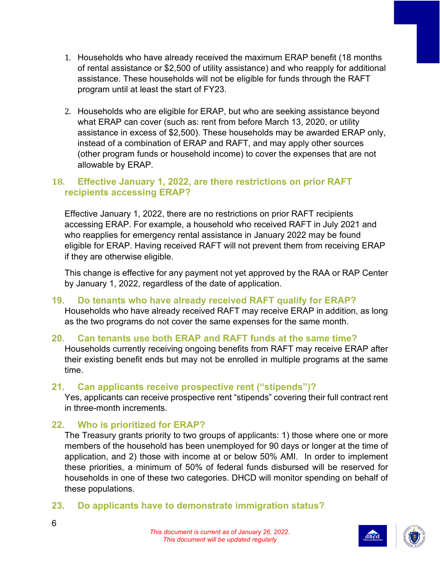- 1. Households who have already received the maximum ERAP benefit (18 months of rental assistance or \$2,500 of utility assistance) and who reapply for additional assistance. These households will not be eligible for funds through the RAFT program until at least the start of FY23.
- 2. Households who are eligible for ERAP, but who are seeking assistance beyond what ERAP can cover (such as: rent from before March 13, 2020, or utility assistance in excess of \$2,500). These households may be awarded ERAP only, instead of a combination of ERAP and RAFT, and may apply other sources (other program funds or household income) to cover the expenses that are not allowable by ERAP.

#### **18. Effective January 1, 2022, are there restrictions on prior RAFT recipients accessing ERAP?**

Effective January 1, 2022, there are no restrictions on prior RAFT recipients accessing ERAP. For example, a household who received RAFT in July 2021 and who reapplies for emergency rental assistance in January 2022 may be found eligible for ERAP. Having received RAFT will not prevent them from receiving ERAP if they are otherwise eligible.

This change is effective for any payment not yet approved by the RAA or RAP Center by January 1, 2022, regardless of the date of application.

#### **19. Do tenants who have already received RAFT qualify for ERAP?**

Households who have already received RAFT may receive ERAP in addition, as long as the two programs do not cover the same expenses for the same month.

#### **20. Can tenants use both ERAP and RAFT funds at the same time?**

Households currently receiving ongoing benefits from RAFT may receive ERAP after their existing benefit ends but may not be enrolled in multiple programs at the same time.

#### **21. Can applicants receive prospective rent ("stipends")?**

Yes, applicants can receive prospective rent "stipends" covering their full contract rent in three-month increments.

#### **22. Who is prioritized for ERAP?**

The Treasury grants priority to two groups of applicants: 1) those where one or more members of the household has been unemployed for 90 days or longer at the time of application, and 2) those with income at or below 50% AMI. In order to implement these priorities, a minimum of 50% of federal funds disbursed will be reserved for households in one of these two categories. DHCD will monitor spending on behalf of these populations.

#### **23. Do applicants have to demonstrate immigration status?**



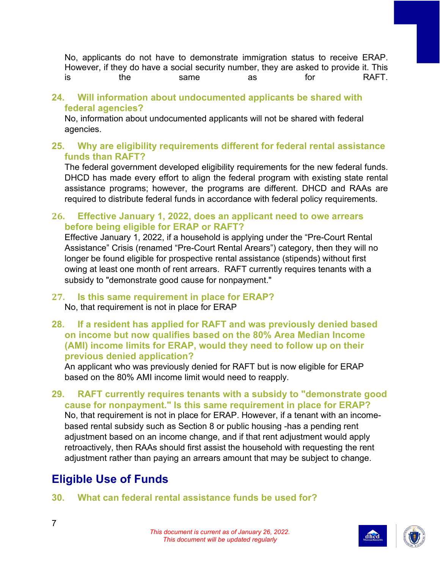No, applicants do not have to demonstrate immigration status to receive ERAP. However, if they do have a social security number, they are asked to provide it. This is the same as for RAFT.

#### **24. Will information about undocumented applicants be shared with federal agencies?**

No, information about undocumented applicants will not be shared with federal agencies.

#### **25. Why are eligibility requirements different for federal rental assistance funds than RAFT?**

The federal government developed eligibility requirements for the new federal funds. DHCD has made every effort to align the federal program with existing state rental assistance programs; however, the programs are different. DHCD and RAAs are required to distribute federal funds in accordance with federal policy requirements.

#### **26. Effective January 1, 2022, does an applicant need to owe arrears before being eligible for ERAP or RAFT?**

Effective January 1, 2022, if a household is applying under the "Pre-Court Rental Assistance" Crisis (renamed "Pre-Court Rental Arears") category, then they will no longer be found eligible for prospective rental assistance (stipends) without first owing at least one month of rent arrears. RAFT currently requires tenants with a subsidy to "demonstrate good cause for nonpayment."

#### **27. Is this same requirement in place for ERAP?** No, that requirement is not in place for ERAP

**28. If a resident has applied for RAFT and was previously denied based on income but now qualifies based on the 80% Area Median Income (AMI) income limits for ERAP, would they need to follow up on their previous denied application?**

An applicant who was previously denied for RAFT but is now eligible for ERAP based on the 80% AMI income limit would need to reapply.

#### **29. RAFT currently requires tenants with a subsidy to "demonstrate good cause for nonpayment." Is this same requirement in place for ERAP?** No, that requirement is not in place for ERAP. However, if a tenant with an incomebased rental subsidy such as Section 8 or public housing -has a pending rent adjustment based on an income change, and if that rent adjustment would apply retroactively, then RAAs should first assist the household with requesting the rent adjustment rather than paying an arrears amount that may be subject to change.

## <span id="page-7-0"></span>**Eligible Use of Funds**

#### **30. What can federal rental assistance funds be used for?**



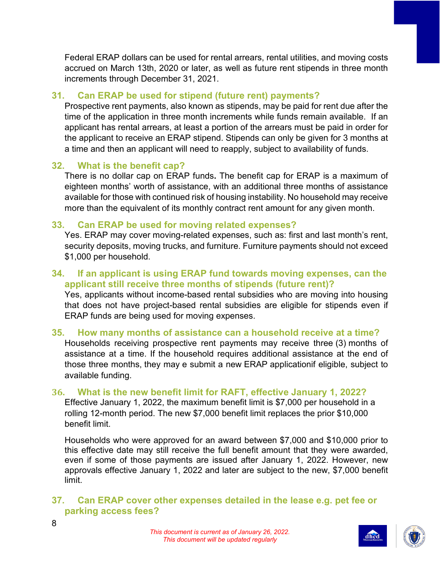Federal ERAP dollars can be used for rental arrears, rental utilities, and moving costs accrued on March 13th, 2020 or later, as well as future rent stipends in three month increments through December 31, 2021.

#### **31. Can ERAP be used for stipend (future rent) payments?**

Prospective rent payments, also known as stipends, may be paid for rent due after the time of the application in three month increments while funds remain available. If an applicant has rental arrears, at least a portion of the arrears must be paid in order for the applicant to receive an ERAP stipend. Stipends can only be given for 3 months at a time and then an applicant will need to reapply, subject to availability of funds.

#### **32. What is the benefit cap?**

There is no dollar cap on ERAP funds**.** The benefit cap for ERAP is a maximum of eighteen months' worth of assistance, with an additional three months of assistance available for those with continued risk of housing instability. No household may receive more than the equivalent of its monthly contract rent amount for any given month.

#### **33. Can ERAP be used for moving related expenses?**

Yes. ERAP may cover moving-related expenses, such as: first and last month's rent, security deposits, moving trucks, and furniture. Furniture payments should not exceed \$1,000 per household.

#### **34. If an applicant is using ERAP fund towards moving expenses, can the applicant still receive three months of stipends (future rent)?**

Yes, applicants without income-based rental subsidies who are moving into housing that does not have project-based rental subsidies are eligible for stipends even if ERAP funds are being used for moving expenses.

#### **35. How many months of assistance can a household receive at a time?** Households receiving prospective rent payments may receive three (3) months of assistance at a time. If the household requires additional assistance at the end of those three months, they may e submit a new ERAP applicationif eligible, subject to available funding.

#### **36. What is the new benefit limit for RAFT, effective January 1, 2022?**

Effective January 1, 2022, the maximum benefit limit is \$7,000 per household in a rolling 12-month period. The new \$7,000 benefit limit replaces the prior \$10,000 benefit limit.

Households who were approved for an award between \$7,000 and \$10,000 prior to this effective date may still receive the full benefit amount that they were awarded, even if some of those payments are issued after January 1, 2022. However, new approvals effective January 1, 2022 and later are subject to the new, \$7,000 benefit limit.

#### **37. Can ERAP cover other expenses detailed in the lease e.g. pet fee or parking access fees?**





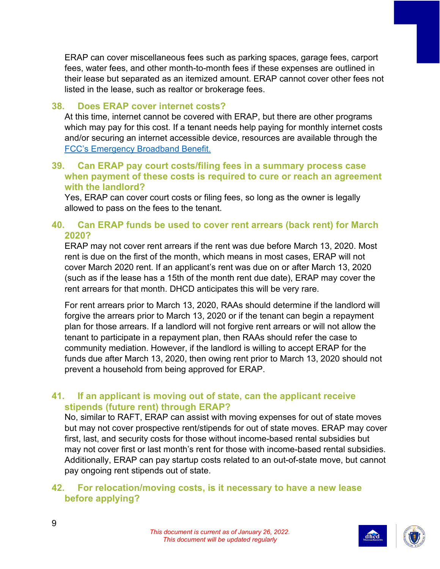ERAP can cover miscellaneous fees such as parking spaces, garage fees, carport fees, water fees, and other month-to-month fees if these expenses are outlined in their lease but separated as an itemized amount. ERAP cannot cover other fees not listed in the lease, such as realtor or brokerage fees.

#### **38. Does ERAP cover internet costs?**

At this time, internet cannot be covered with ERAP, but there are other programs which may pay for this cost. If a tenant needs help paying for monthly internet costs and/or securing an internet accessible device, resources are available through the [FCC's Emergency Broadband Benefit.](https://www.fcc.gov/broadbandbenefit)

#### **39. Can ERAP pay court costs/filing fees in a summary process case when payment of these costs is required to cure or reach an agreement with the landlord?**

Yes, ERAP can cover court costs or filing fees, so long as the owner is legally allowed to pass on the fees to the tenant.

#### **40. Can ERAP funds be used to cover rent arrears (back rent) for March 2020?**

ERAP may not cover rent arrears if the rent was due before March 13, 2020. Most rent is due on the first of the month, which means in most cases, ERAP will not cover March 2020 rent. If an applicant's rent was due on or after March 13, 2020 (such as if the lease has a 15th of the month rent due date), ERAP may cover the rent arrears for that month. DHCD anticipates this will be very rare.

For rent arrears prior to March 13, 2020, RAAs should determine if the landlord will forgive the arrears prior to March 13, 2020 or if the tenant can begin a repayment plan for those arrears. If a landlord will not forgive rent arrears or will not allow the tenant to participate in a repayment plan, then RAAs should refer the case to community mediation. However, if the landlord is willing to accept ERAP for the funds due after March 13, 2020, then owing rent prior to March 13, 2020 should not prevent a household from being approved for ERAP.

#### **41. If an applicant is moving out of state, can the applicant receive stipends (future rent) through ERAP?**

No, similar to RAFT, ERAP can assist with moving expenses for out of state moves but may not cover prospective rent/stipends for out of state moves. ERAP may cover first, last, and security costs for those without income-based rental subsidies but may not cover first or last month's rent for those with income-based rental subsidies. Additionally, ERAP can pay startup costs related to an out-of-state move, but cannot pay ongoing rent stipends out of state.

#### **42. For relocation/moving costs, is it necessary to have a new lease before applying?**



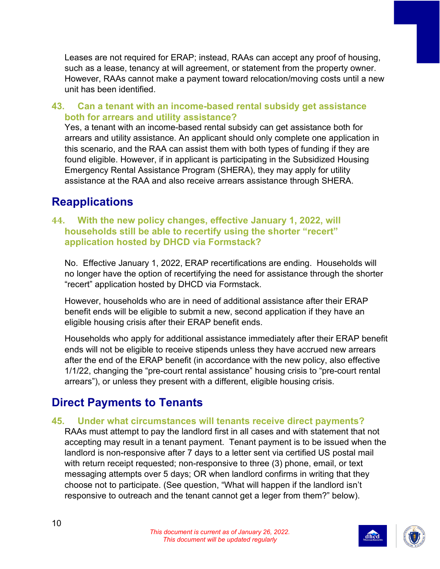Leases are not required for ERAP; instead, RAAs can accept any proof of housing, such as a lease, tenancy at will agreement, or statement from the property owner. However, RAAs cannot make a payment toward relocation/moving costs until a new unit has been identified.

#### **43. Can a tenant with an income-based rental subsidy get assistance both for arrears and utility assistance?**

Yes, a tenant with an income-based rental subsidy can get assistance both for arrears and utility assistance. An applicant should only complete one application in this scenario, and the RAA can assist them with both types of funding if they are found eligible. However, if in applicant is participating in the Subsidized Housing Emergency Rental Assistance Program (SHERA), they may apply for utility assistance at the RAA and also receive arrears assistance through SHERA.

## <span id="page-10-0"></span>**Reapplications**

#### **44. With the new policy changes, effective January 1, 2022, will households still be able to recertify using the shorter "recert" application hosted by DHCD via Formstack?**

No. Effective January 1, 2022, ERAP recertifications are ending. Households will no longer have the option of recertifying the need for assistance through the shorter "recert" application hosted by DHCD via Formstack.

However, households who are in need of additional assistance after their ERAP benefit ends will be eligible to submit a new, second application if they have an eligible housing crisis after their ERAP benefit ends.

Households who apply for additional assistance immediately after their ERAP benefit ends will not be eligible to receive stipends unless they have accrued new arrears after the end of the ERAP benefit (in accordance with the new policy, also effective 1/1/22, changing the "pre-court rental assistance" housing crisis to "pre-court rental arrears"), or unless they present with a different, eligible housing crisis.

## <span id="page-10-1"></span>**Direct Payments to Tenants**

#### **45. Under what circumstances will tenants receive direct payments?**

RAAs must attempt to pay the landlord first in all cases and with statement that not accepting may result in a tenant payment. Tenant payment is to be issued when the landlord is non-responsive after 7 days to a letter sent via certified US postal mail with return receipt requested; non-responsive to three (3) phone, email, or text messaging attempts over 5 days; OR when landlord confirms in writing that they choose not to participate. (See question, "What will happen if the landlord isn't responsive to outreach and the tenant cannot get a leger from them?" below).

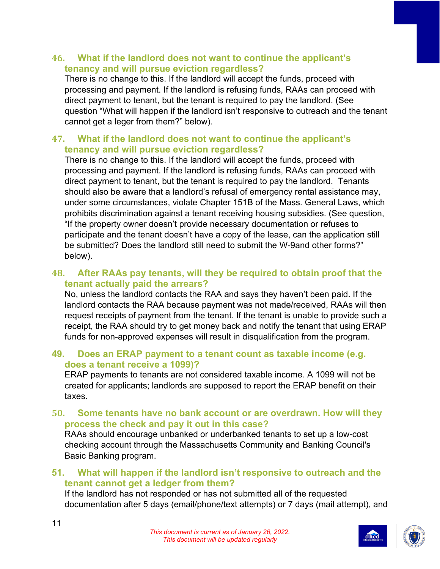#### **46. What if the landlord does not want to continue the applicant's tenancy and will pursue eviction regardless?**

There is no change to this. If the landlord will accept the funds, proceed with processing and payment. If the landlord is refusing funds, RAAs can proceed with direct payment to tenant, but the tenant is required to pay the landlord. (See question "What will happen if the landlord isn't responsive to outreach and the tenant cannot get a leger from them?" below).

#### **47. What if the landlord does not want to continue the applicant's tenancy and will pursue eviction regardless?**

There is no change to this. If the landlord will accept the funds, proceed with processing and payment. If the landlord is refusing funds, RAAs can proceed with direct payment to tenant, but the tenant is required to pay the landlord. Tenants should also be aware that a landlord's refusal of emergency rental assistance may, under some circumstances, violate Chapter 151B of the Mass. General Laws, which prohibits discrimination against a tenant receiving housing subsidies. (See question, "If the property owner doesn't provide necessary documentation or refuses to participate and the tenant doesn't have a copy of the lease, can the application still be submitted? Does the landlord still need to submit the W-9and other forms?" below).

#### **48. After RAAs pay tenants, will they be required to obtain proof that the tenant actually paid the arrears?**

No, unless the landlord contacts the RAA and says they haven't been paid. If the landlord contacts the RAA because payment was not made/received, RAAs will then request receipts of payment from the tenant. If the tenant is unable to provide such a receipt, the RAA should try to get money back and notify the tenant that using ERAP funds for non-approved expenses will result in disqualification from the program.

#### **49. Does an ERAP payment to a tenant count as taxable income (e.g. does a tenant receive a 1099)?**

ERAP payments to tenants are not considered taxable income. A 1099 will not be created for applicants; landlords are supposed to report the ERAP benefit on their taxes.

**50. Some tenants have no bank account or are overdrawn. How will they process the check and pay it out in this case?**

RAAs should encourage unbanked or underbanked tenants to set up a low-cost checking account through the Massachusetts Community and Banking Council's Basic Banking program.

#### **51. What will happen if the landlord isn't responsive to outreach and the tenant cannot get a ledger from them?**

If the landlord has not responded or has not submitted all of the requested documentation after 5 days (email/phone/text attempts) or 7 days (mail attempt), and



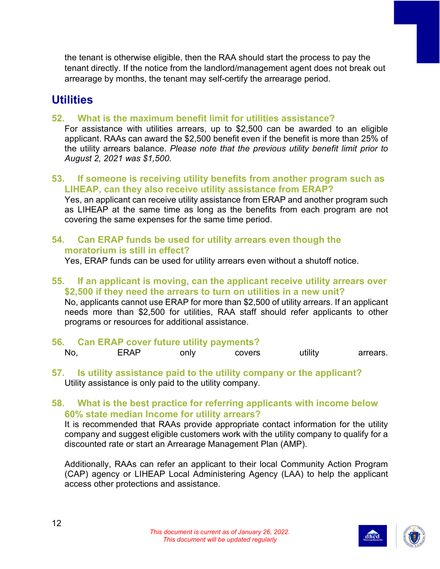the tenant is otherwise eligible, then the RAA should start the process to pay the tenant directly. If the notice from the landlord/management agent does not break out arrearage by months, the tenant may self-certify the arrearage period.

## <span id="page-12-0"></span>**Utilities**

**52. What is the maximum benefit limit for utilities assistance?**

For assistance with utilities arrears, up to \$2,500 can be awarded to an eligible applicant. RAAs can award the \$2,500 benefit even if the benefit is more than 25% of the utility arrears balance. *Please note that the previous utility benefit limit prior to August 2, 2021 was \$1,500.*

**53. If someone is receiving utility benefits from another program such as LIHEAP, can they also receive utility assistance from ERAP?**

Yes, an applicant can receive utility assistance from ERAP and another program such as LIHEAP at the same time as long as the benefits from each program are not covering the same expenses for the same time period.

#### **54. Can ERAP funds be used for utility arrears even though the moratorium is still in effect?**

Yes, ERAP funds can be used for utility arrears even without a shutoff notice.

#### **55. If an applicant is moving, can the applicant receive utility arrears over \$2,500 if they need the arrears to turn on utilities in a new unit?**

No, applicants cannot use ERAP for more than \$2,500 of utility arrears. If an applicant needs more than \$2,500 for utilities, RAA staff should refer applicants to other programs or resources for additional assistance.

- **56. Can ERAP cover future utility payments?** No, ERAP only covers utility arrears.
- **57. Is utility assistance paid to the utility company or the applicant?** Utility assistance is only paid to the utility company.

#### **58. What is the best practice for referring applicants with income below 60% state median Income for utility arrears?**

It is recommended that RAAs provide appropriate contact information for the utility company and suggest eligible customers work with the utility company to qualify for a discounted rate or start an Arrearage Management Plan (AMP).

Additionally, RAAs can refer an applicant to their local Community Action Program (CAP) agency or LIHEAP Local Administering Agency (LAA) to help the applicant access other protections and assistance.



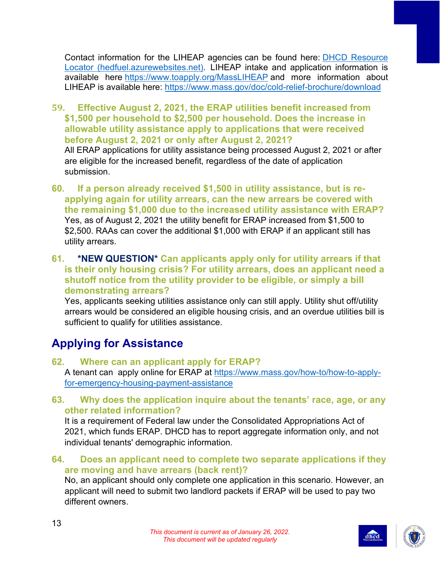Contact information for the LIHEAP agencies can be found here: [DHCD Resource](https://hedfuel.azurewebsites.net/)  [Locator \(hedfuel.azurewebsites.net\).](https://hedfuel.azurewebsites.net/) LIHEAP intake and application information is available here <https://www.toapply.org/MassLIHEAP> and more information about LIHEAP is available here: <https://www.mass.gov/doc/cold-relief-brochure/download>

- **59. Effective August 2, 2021, the ERAP utilities benefit increased from \$1,500 per household to \$2,500 per household. Does the increase in allowable utility assistance apply to applications that were received before August 2, 2021 or only after August 2, 2021?** All ERAP applications for utility assistance being processed August 2, 2021 or after are eligible for the increased benefit, regardless of the date of application submission.
- **60. If a person already received \$1,500 in utility assistance, but is reapplying again for utility arrears, can the new arrears be covered with the remaining \$1,000 due to the increased utility assistance with ERAP?** Yes, as of August 2, 2021 the utility benefit for ERAP increased from \$1,500 to \$2,500. RAAs can cover the additional \$1,000 with ERAP if an applicant still has utility arrears.
- **61. \*NEW QUESTION\* Can applicants apply only for utility arrears if that is their only housing crisis? For utility arrears, does an applicant need a shutoff notice from the utility provider to be eligible, or simply a bill demonstrating arrears?**

Yes, applicants seeking utilities assistance only can still apply. Utility shut off/utility arrears would be considered an eligible housing crisis, and an overdue utilities bill is sufficient to qualify for utilities assistance.

## <span id="page-13-0"></span>**Applying for Assistance**

#### **62. Where can an applicant apply for ERAP?**

A tenant can apply online for ERAP at [https://www.mass.gov/how-to/how-to-apply](https://www.mass.gov/how-to/how-to-apply-for-emergency-housing-payment-assistance)[for-emergency-housing-payment-assistance](https://www.mass.gov/how-to/how-to-apply-for-emergency-housing-payment-assistance)

#### **63. Why does the application inquire about the tenants' race, age, or any other related information?**

It is a requirement of Federal law under the Consolidated Appropriations Act of 2021, which funds ERAP. DHCD has to report aggregate information only, and not individual tenants' demographic information.

#### **64. Does an applicant need to complete two separate applications if they are moving and have arrears (back rent)?**

No, an applicant should only complete one application in this scenario. However, an applicant will need to submit two landlord packets if ERAP will be used to pay two different owners.



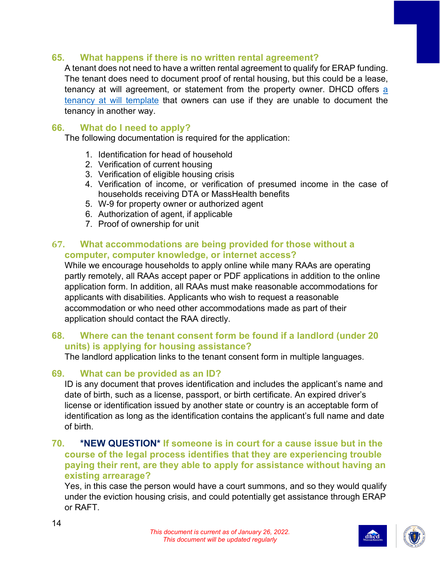#### **65. What happens if there is no written rental agreement?**

A tenant does not need to have a written rental agreement to qualify for ERAP funding. The tenant does need to document proof of rental housing, but this could be a lease, tenancy at will agreement, or statement from the property owner. DHCD offers a [tenancy at will template](https://www.mass.gov/info-details/emergency-housing-assistance-during-covid-19) that owners can use if they are unable to document the tenancy in another way.

#### **66. What do I need to apply?**

The following documentation is required for the application:

- 1. Identification for head of household
- 2. Verification of current housing
- 3. Verification of eligible housing crisis
- 4. Verification of income, or verification of presumed income in the case of households receiving DTA or MassHealth benefits
- 5. W-9 for property owner or authorized agent
- 6. Authorization of agent, if applicable
- 7. Proof of ownership for unit

#### **67. What accommodations are being provided for those without a computer, computer knowledge, or internet access?**

While we encourage households to apply online while many RAAs are operating partly remotely, all RAAs accept paper or PDF applications in addition to the online application form. In addition, all RAAs must make reasonable accommodations for applicants with disabilities. Applicants who wish to request a reasonable accommodation or who need other accommodations made as part of their application should contact the RAA directly.

#### **68. Where can the tenant consent form be found if a landlord (under 20 units) is applying for housing assistance?**

The landlord application links to the tenant consent form in multiple languages.

#### **69. What can be provided as an ID?**

ID is any document that proves identification and includes the applicant's name and date of birth, such as a license, passport, or birth certificate. An expired driver's license or identification issued by another state or country is an acceptable form of identification as long as the identification contains the applicant's full name and date of birth.

#### **70. \*NEW QUESTION\* If someone is in court for a cause issue but in the course of the legal process identifies that they are experiencing trouble paying their rent, are they able to apply for assistance without having an existing arrearage?**

Yes, in this case the person would have a court summons, and so they would qualify under the eviction housing crisis, and could potentially get assistance through ERAP or RAFT.



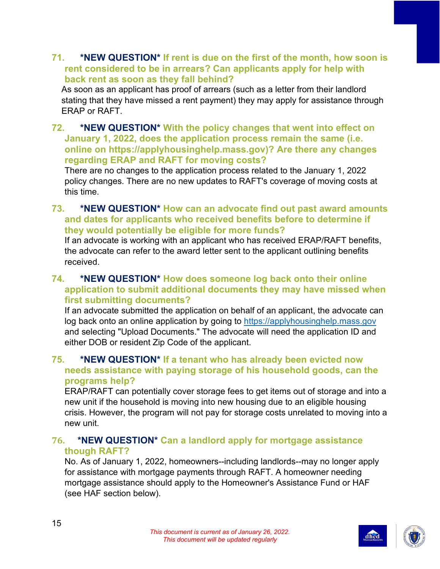#### **71. \*NEW QUESTION\* If rent is due on the first of the month, how soon is rent considered to be in arrears? Can applicants apply for help with back rent as soon as they fall behind?**

As soon as an applicant has proof of arrears (such as a letter from their landlord stating that they have missed a rent payment) they may apply for assistance through ERAP or RAFT.

#### **72. \*NEW QUESTION\* With the policy changes that went into effect on January 1, 2022, does the application process remain the same (i.e. online on https://applyhousinghelp.mass.gov)? Are there any changes regarding ERAP and RAFT for moving costs?**

There are no changes to the application process related to the January 1, 2022 policy changes. There are no new updates to RAFT's coverage of moving costs at this time.

#### **73. \*NEW QUESTION\* How can an advocate find out past award amounts and dates for applicants who received benefits before to determine if they would potentially be eligible for more funds?**

If an advocate is working with an applicant who has received ERAP/RAFT benefits, the advocate can refer to the award letter sent to the applicant outlining benefits received.

#### **74. \*NEW QUESTION\* How does someone log back onto their online application to submit additional documents they may have missed when first submitting documents?**

If an advocate submitted the application on behalf of an applicant, the advocate can log back onto an online application by going to [https://applyhousinghelp.mass.gov](https://applyhousinghelp.mass.gov/) and selecting "Upload Documents." The advocate will need the application ID and either DOB or resident Zip Code of the applicant.

#### **75. \*NEW QUESTION\* If a tenant who has already been evicted now needs assistance with paying storage of his household goods, can the programs help?**

ERAP/RAFT can potentially cover storage fees to get items out of storage and into a new unit if the household is moving into new housing due to an eligible housing crisis. However, the program will not pay for storage costs unrelated to moving into a new unit.

#### **76. \*NEW QUESTION\* Can a landlord apply for mortgage assistance though RAFT?**

No. As of January 1, 2022, homeowners--including landlords--may no longer apply for assistance with mortgage payments through RAFT. A homeowner needing mortgage assistance should apply to the Homeowner's Assistance Fund or HAF (see HAF section below).



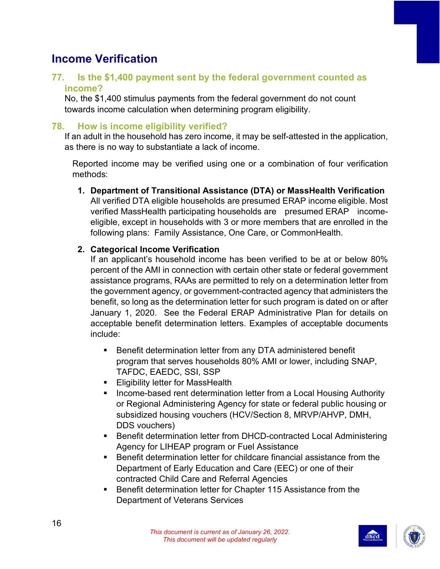## <span id="page-16-0"></span>**Income Verification**

#### **77. Is the \$1,400 payment sent by the federal government counted as income?**

No, the \$1,400 stimulus payments from the federal government do not count towards income calculation when determining program eligibility.

#### **78. How is income eligibility verified?**

If an adult in the household has zero income, it may be self-attested in the application, as there is no way to substantiate a lack of income.

Reported income may be verified using one or a combination of four verification methods:

**1. Department of Transitional Assistance (DTA) or MassHealth Verification**

All verified DTA eligible households are presumed ERAP income eligible. Most verified MassHealth participating households are presumed ERAP incomeeligible, except in households with 3 or more members that are enrolled in the following plans: Family Assistance, One Care, or CommonHealth.

#### **2. Categorical Income Verification**

If an applicant's household income has been verified to be at or below 80% percent of the AMI in connection with certain other state or federal government assistance programs, RAAs are permitted to rely on a determination letter from the government agency, or government-contracted agency that administers the benefit, so long as the determination letter for such program is dated on or after January 1, 2020. See the Federal ERAP Administrative Plan for details on acceptable benefit determination letters. Examples of acceptable documents include:

- **Benefit determination letter from any DTA administered benefit** program that serves households 80% AMI or lower, including SNAP, TAFDC, EAEDC, SSI, SSP
- **Eligibility letter for MassHealth**
- **Income-based rent determination letter from a Local Housing Authority** or Regional Administering Agency for state or federal public housing or subsidized housing vouchers (HCV/Section 8, MRVP/AHVP, DMH, DDS vouchers)
- Benefit determination letter from DHCD-contracted Local Administering Agency for LIHEAP program or Fuel Assistance
- Benefit determination letter for childcare financial assistance from the Department of Early Education and Care (EEC) or one of their contracted Child Care and Referral Agencies
- Benefit determination letter for Chapter 115 Assistance from the Department of Veterans Services



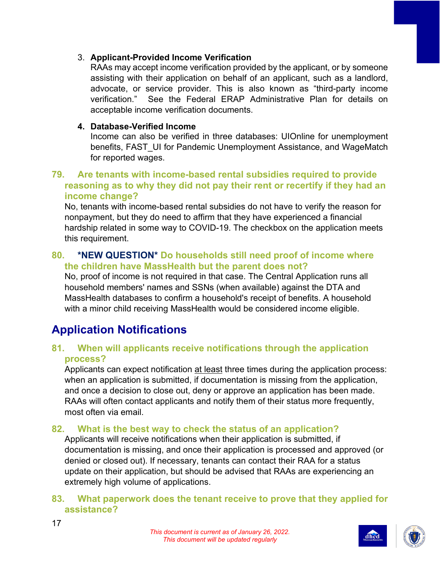#### 3. **Applicant-Provided Income Verification**

RAAs may accept income verification provided by the applicant, or by someone assisting with their application on behalf of an applicant, such as a landlord, advocate, or service provider. This is also known as "third-party income verification." See the Federal ERAP Administrative Plan for details on acceptable income verification documents.

#### **4. Database-Verified Income**

Income can also be verified in three databases: UIOnline for unemployment benefits, FAST\_UI for Pandemic Unemployment Assistance, and WageMatch for reported wages.

#### **79. Are tenants with income-based rental subsidies required to provide reasoning as to why they did not pay their rent or recertify if they had an income change?**

No, tenants with income-based rental subsidies do not have to verify the reason for nonpayment, but they do need to affirm that they have experienced a financial hardship related in some way to COVID-19. The checkbox on the application meets this requirement.

#### **80. \*NEW QUESTION\* Do households still need proof of income where the children have MassHealth but the parent does not?**

No, proof of income is not required in that case. The Central Application runs all household members' names and SSNs (when available) against the DTA and MassHealth databases to confirm a household's receipt of benefits. A household with a minor child receiving MassHealth would be considered income eligible.

## <span id="page-17-0"></span>**Application Notifications**

17

#### **81. When will applicants receive notifications through the application process?**

Applicants can expect notification at least three times during the application process: when an application is submitted, if documentation is missing from the application, and once a decision to close out, deny or approve an application has been made. RAAs will often contact applicants and notify them of their status more frequently, most often via email.

#### **82. What is the best way to check the status of an application?**

Applicants will receive notifications when their application is submitted, if documentation is missing, and once their application is processed and approved (or denied or closed out). If necessary, tenants can contact their RAA for a status update on their application, but should be advised that RAAs are experiencing an extremely high volume of applications.

#### **83. What paperwork does the tenant receive to prove that they applied for assistance?**





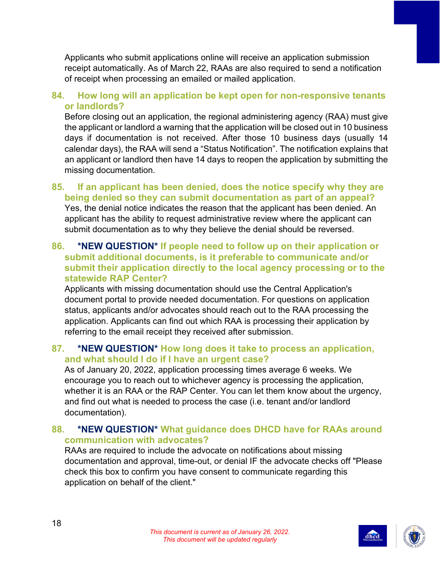Applicants who submit applications online will receive an application submission receipt automatically. As of March 22, RAAs are also required to send a notification of receipt when processing an emailed or mailed application.

#### **84. How long will an application be kept open for non-responsive tenants or landlords?**

Before closing out an application, the regional administering agency (RAA) must give the applicant or landlord a warning that the application will be closed out in 10 business days if documentation is not received. After those 10 business days (usually 14 calendar days), the RAA will send a "Status Notification". The notification explains that an applicant or landlord then have 14 days to reopen the application by submitting the missing documentation.

#### **85. If an applicant has been denied, does the notice specify why they are being denied so they can submit documentation as part of an appeal?**

Yes, the denial notice indicates the reason that the applicant has been denied. An applicant has the ability to request administrative review where the applicant can submit documentation as to why they believe the denial should be reversed.

#### **86. \*NEW QUESTION\* If people need to follow up on their application or submit additional documents, is it preferable to communicate and/or submit their application directly to the local agency processing or to the statewide RAP Center?**

Applicants with missing documentation should use the Central Application's document portal to provide needed documentation. For questions on application status, applicants and/or advocates should reach out to the RAA processing the application. Applicants can find out which RAA is processing their application by referring to the email receipt they received after submission.

#### **87. \*NEW QUESTION\* How long does it take to process an application, and what should I do if I have an urgent case?**

As of January 20, 2022, application processing times average 6 weeks. We encourage you to reach out to whichever agency is processing the application, whether it is an RAA or the RAP Center. You can let them know about the urgency, and find out what is needed to process the case (i.e. tenant and/or landlord documentation).

#### **88. \*NEW QUESTION\* What guidance does DHCD have for RAAs around communication with advocates?**

RAAs are required to include the advocate on notifications about missing documentation and approval, time-out, or denial IF the advocate checks off "Please check this box to confirm you have consent to communicate regarding this application on behalf of the client."



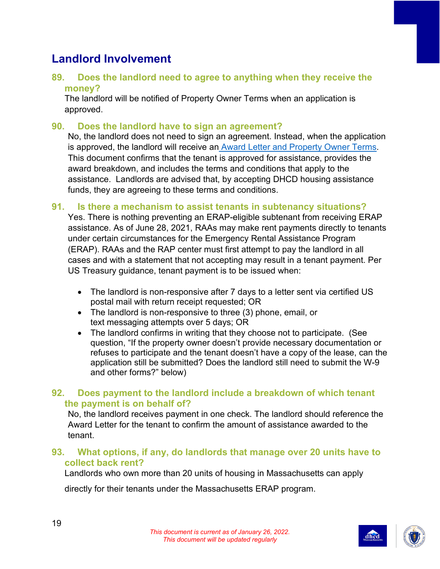## <span id="page-19-0"></span>**Landlord Involvement**

#### **89. Does the landlord need to agree to anything when they receive the money?**

The landlord will be notified of Property Owner Terms when an application is approved.

#### **90. Does the landlord have to sign an agreement?**

No, the landlord does not need to sign an agreement. Instead, when the application is approved, the landlord will receive an [Award Letter and Property Owner Terms.](https://www.mass.gov/doc/english-eraprafterma-property-owner-contract/download) This document confirms that the tenant is approved for assistance, provides the award breakdown, and includes the terms and conditions that apply to the assistance. Landlords are advised that, by accepting DHCD housing assistance funds, they are agreeing to these terms and conditions.

#### **91. Is there a mechanism to assist tenants in subtenancy situations?**

Yes. There is nothing preventing an ERAP-eligible subtenant from receiving ERAP assistance. As of June 28, 2021, RAAs may make rent payments directly to tenants under certain circumstances for the Emergency Rental Assistance Program (ERAP). RAAs and the RAP center must first attempt to pay the landlord in all cases and with a statement that not accepting may result in a tenant payment. Per US Treasury guidance, tenant payment is to be issued when:

- The landlord is non-responsive after 7 days to a letter sent via certified US postal mail with return receipt requested; OR
- The landlord is non-responsive to three (3) phone, email, or text messaging attempts over 5 days; OR
- The landlord confirms in writing that they choose not to participate. (See question, "If the property owner doesn't provide necessary documentation or refuses to participate and the tenant doesn't have a copy of the lease, can the application still be submitted? Does the landlord still need to submit the W-9 and other forms?" below)

#### **92. Does payment to the landlord include a breakdown of which tenant the payment is on behalf of?**

No, the landlord receives payment in one check. The landlord should reference the Award Letter for the tenant to confirm the amount of assistance awarded to the tenant.

#### **93. What options, if any, do landlords that manage over 20 units have to collect back rent?**

Landlords who own more than 20 units of housing in Massachusetts can apply

directly for their tenants under the Massachusetts ERAP program.



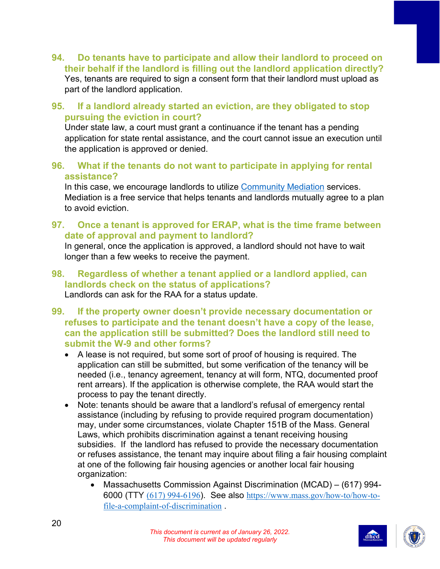- **94. Do tenants have to participate and allow their landlord to proceed on their behalf if the landlord is filling out the landlord application directly?** Yes, tenants are required to sign a consent form that their landlord must upload as part of the landlord application.
- **95. If a landlord already started an eviction, are they obligated to stop pursuing the eviction in court?**

Under state law, a court must grant a continuance if the tenant has a pending application for state rental assistance, and the court cannot issue an execution until the application is approved or denied.

**96. What if the tenants do not want to participate in applying for rental assistance?**

In this case, we encourage landlords to utilize [Community Mediation](https://www.mass.gov/info-details/eviction-diversion-initiative-legal-services-and-mediation#overview:-housing-mediation-program-) services. Mediation is a free service that helps tenants and landlords mutually agree to a plan to avoid eviction.

**97. Once a tenant is approved for ERAP, what is the time frame between date of approval and payment to landlord?**

In general, once the application is approved, a landlord should not have to wait longer than a few weeks to receive the payment.

- **98. Regardless of whether a tenant applied or a landlord applied, can landlords check on the status of applications?** Landlords can ask for the RAA for a status update.
- **99. If the property owner doesn't provide necessary documentation or refuses to participate and the tenant doesn't have a copy of the lease, can the application still be submitted? Does the landlord still need to submit the W-9 and other forms?**
	- A lease is not required, but some sort of proof of housing is required. The application can still be submitted, but some verification of the tenancy will be needed (i.e., tenancy agreement, tenancy at will form, NTQ, documented proof rent arrears). If the application is otherwise complete, the RAA would start the process to pay the tenant directly.
	- Note: tenants should be aware that a landlord's refusal of emergency rental assistance (including by refusing to provide required program documentation) may, under some circumstances, violate Chapter 151B of the Mass. General Laws, which prohibits discrimination against a tenant receiving housing subsidies. If the landlord has refused to provide the necessary documentation or refuses assistance, the tenant may inquire about filing a fair housing complaint at one of the following fair housing agencies or another local fair housing organization:
		- Massachusetts Commission Against Discrimination (MCAD) (617) 994- 6000 (TTY [\(617\) 994-6196](tel:6179946196)). See also [https://www.mass.gov/how-to/how-to](https://www.mass.gov/how-to/how-to-file-a-complaint-of-discrimination)[file-a-complaint-of-discrimination](https://www.mass.gov/how-to/how-to-file-a-complaint-of-discrimination) .



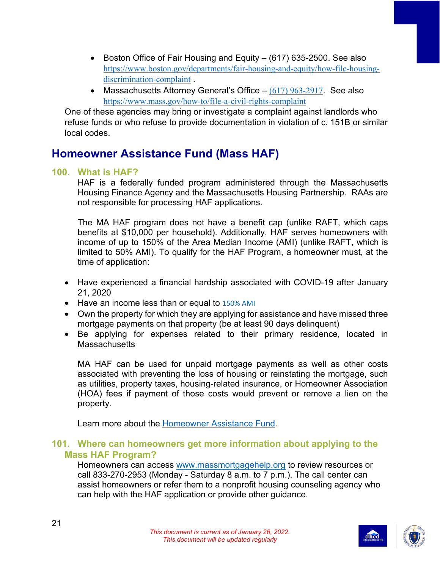- Boston Office of Fair Housing and Equity (617) 635-2500. See also [https://www.boston.gov/departments/fair-housing-and-equity/how-file-housing](https://www.boston.gov/departments/fair-housing-and-equity/how-file-housing-discrimination-complaint)[discrimination-complaint](https://www.boston.gov/departments/fair-housing-and-equity/how-file-housing-discrimination-complaint) .
- Massachusetts Attorney General's Office  $-$  [\(617\) 963-2917](tel:6179632917). See also <https://www.mass.gov/how-to/file-a-civil-rights-complaint>

One of these agencies may bring or investigate a complaint against landlords who refuse funds or who refuse to provide documentation in violation of c. 151B or similar local codes.

## <span id="page-21-0"></span>**Homeowner Assistance Fund (Mass HAF)**

#### **100. What is HAF?**

HAF is a federally funded program administered through the Massachusetts Housing Finance Agency and the Massachusetts Housing Partnership. RAAs are not responsible for processing HAF applications.

The MA HAF program does not have a benefit cap (unlike RAFT, which caps benefits at \$10,000 per household). Additionally, HAF serves homeowners with income of up to 150% of the Area Median Income (AMI) (unlike RAFT, which is limited to 50% AMI). To qualify for the HAF Program, a homeowner must, at the time of application:

- Have experienced a financial hardship associated with COVID-19 after January 21, 2020
- Have an income less than or equal to  $150\%$  AMI
- Own the property for which they are applying for assistance and have missed three mortgage payments on that property (be at least 90 days delinquent)
- Be applying for expenses related to their primary residence, located in **Massachusetts**

MA HAF can be used for unpaid mortgage payments as well as other costs associated with preventing the loss of housing or reinstating the mortgage, such as utilities, property taxes, housing-related insurance, or Homeowner Association (HOA) fees if payment of those costs would prevent or remove a lien on the property.

Learn more about the [Homeowner Assistance Fund.](https://massmortgagehelp.org/)

#### **101. Where can homeowners get more information about applying to the Mass HAF Program?**

Homeowners can access [www.massmortgagehelp.org](http://www.massmortgagehelp.org/) to review resources or call 833-270-2953 (Monday - Saturday 8 a.m. to 7 p.m.). The call center can assist homeowners or refer them to a nonprofit housing counseling agency who can help with the HAF application or provide other guidance.



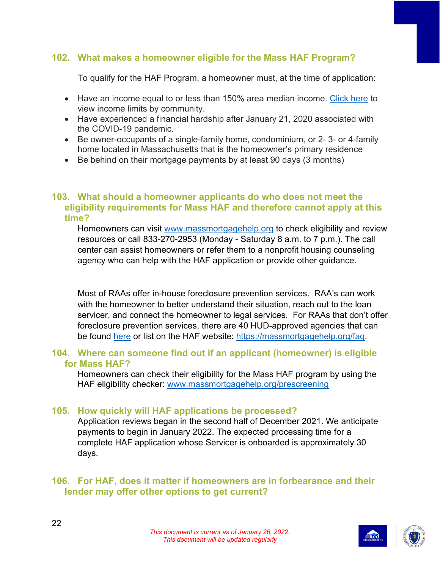#### **102. What makes a homeowner eligible for the Mass HAF Program?**

To qualify for the HAF Program, a homeowner must, at the time of application:

- Have an income equal to or less than 150% area median income. [Click here](https://public.tableau.com/app/profile/jihae.lee3737/viz/HAFIncomeEligibility_16317328455000/Calculator) to view income limits by community.
- Have experienced a financial hardship after January 21, 2020 associated with the COVID-19 pandemic.
- Be owner-occupants of a single-family home, condominium, or 2- 3- or 4-family home located in Massachusetts that is the homeowner's primary residence
- Be behind on their mortgage payments by at least 90 days (3 months)

#### **103. What should a homeowner applicants do who does not meet the eligibility requirements for Mass HAF and therefore cannot apply at this time?**

Homeowners can visit [www.massmortgagehelp.org](http://www.massmortgagehelp.org/) to check eligibility and review resources or call 833-270-2953 (Monday - Saturday 8 a.m. to 7 p.m.). The call center can assist homeowners or refer them to a nonprofit housing counseling agency who can help with the HAF application or provide other guidance.

Most of RAAs offer in-house foreclosure prevention services. RAA's can work with the homeowner to better understand their situation, reach out to the loan servicer, and connect the homeowner to legal services. For RAAs that don't offer foreclosure prevention services, there are 40 HUD-approved agencies that can be found [here](https://apps.hud.gov/offices/hsg/sfh/hcc/hcs.cfm?webListAction=search&searchstate=ma) or list on the HAF website: [https://massmortgagehelp.org/faq.](https://massmortgagehelp.org/faq)

#### **104. Where can someone find out if an applicant (homeowner) is eligible for Mass HAF?**

Homeowners can check their eligibility for the Mass HAF program by using the HAF eligibility checker: [www.massmortgagehelp.org/prescreening](http://www.massmortgagehelp.org/prescreening)

#### **105. How quickly will HAF applications be processed?**

Application reviews began in the second half of December 2021. We anticipate payments to begin in January 2022. The expected processing time for a complete HAF application whose Servicer is onboarded is approximately 30 days.

#### **106. For HAF, does it matter if homeowners are in forbearance and their lender may offer other options to get current?**



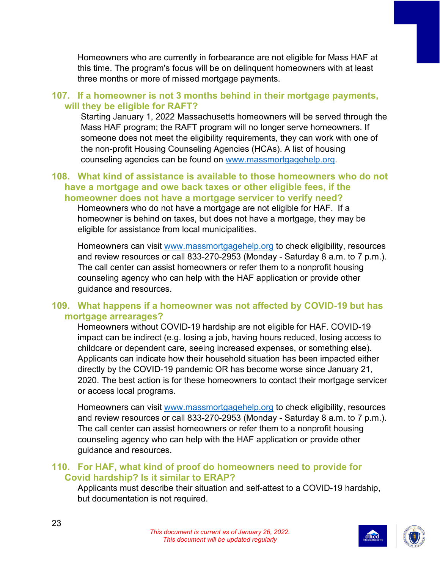Homeowners who are currently in forbearance are not eligible for Mass HAF at this time. The program's focus will be on delinquent homeowners with at least three months or more of missed mortgage payments.

#### **107. If a homeowner is not 3 months behind in their mortgage payments, will they be eligible for RAFT?**

Starting January 1, 2022 Massachusetts homeowners will be served through the Mass HAF program; the RAFT program will no longer serve homeowners. If someone does not meet the eligibility requirements, they can work with one of the non-profit Housing Counseling Agencies (HCAs). A list of housing counseling agencies can be found on [www.massmortgagehelp.org.](http://www.massmortgagehelp.org/)

#### **108. What kind of assistance is available to those homeowners who do not have a mortgage and owe back taxes or other eligible fees, if the homeowner does not have a mortgage servicer to verify need?**

Homeowners who do not have a mortgage are not eligible for HAF. If a homeowner is behind on taxes, but does not have a mortgage, they may be eligible for assistance from local municipalities.

Homeowners can visit [www.massmortgagehelp.org](http://www.massmortgagehelp.org/) to check eligibility, resources and review resources or call 833-270-2953 (Monday - Saturday 8 a.m. to 7 p.m.). The call center can assist homeowners or refer them to a nonprofit housing counseling agency who can help with the HAF application or provide other guidance and resources.

#### **109. What happens if a homeowner was not affected by COVID-19 but has mortgage arrearages?**

Homeowners without COVID-19 hardship are not eligible for HAF. COVID-19 impact can be indirect (e.g. losing a job, having hours reduced, losing access to childcare or dependent care, seeing increased expenses, or something else). Applicants can indicate how their household situation has been impacted either directly by the COVID-19 pandemic OR has become worse since January 21, 2020. The best action is for these homeowners to contact their mortgage servicer or access local programs.

Homeowners can visit [www.massmortgagehelp.org](http://www.massmortgagehelp.org/) to check eligibility, resources and review resources or call 833-270-2953 (Monday - Saturday 8 a.m. to 7 p.m.). The call center can assist homeowners or refer them to a nonprofit housing counseling agency who can help with the HAF application or provide other guidance and resources.

#### **110. For HAF, what kind of proof do homeowners need to provide for Covid hardship? Is it similar to ERAP?**

Applicants must describe their situation and self-attest to a COVID-19 hardship, but documentation is not required.



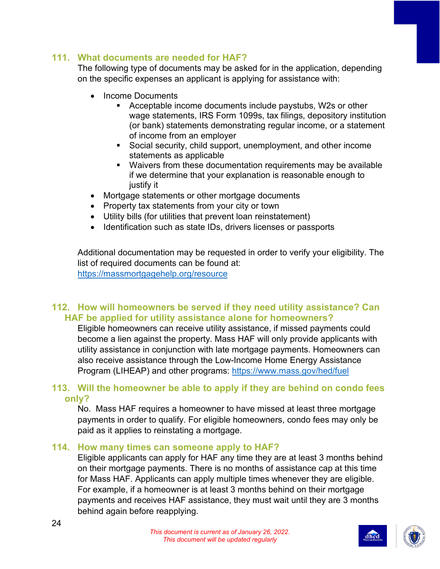#### **111. What documents are needed for HAF?**

The following type of documents may be asked for in the application, depending on the specific expenses an applicant is applying for assistance with:

- Income Documents
	- Acceptable income documents include paystubs, W2s or other wage statements, IRS Form 1099s, tax filings, depository institution (or bank) statements demonstrating regular income, or a statement of income from an employer
	- Social security, child support, unemployment, and other income statements as applicable
	- Waivers from these documentation requirements may be available if we determine that your explanation is reasonable enough to justify it
- Mortgage statements or other mortgage documents
- Property tax statements from your city or town
- Utility bills (for utilities that prevent loan reinstatement)
- Identification such as state IDs, drivers licenses or passports

Additional documentation may be requested in order to verify your eligibility. The list of required documents can be found at: <https://massmortgagehelp.org/resource>

#### **112. How will homeowners be served if they need utility assistance? Can HAF be applied for utility assistance alone for homeowners?**

Eligible homeowners can receive utility assistance, if missed payments could become a lien against the property. Mass HAF will only provide applicants with utility assistance in conjunction with late mortgage payments. Homeowners can also receive assistance through the Low-Income Home Energy Assistance Program (LIHEAP) and other programs:<https://www.mass.gov/hed/fuel>

#### **113. Will the homeowner be able to apply if they are behind on condo fees only?**

No. Mass HAF requires a homeowner to have missed at least three mortgage payments in order to qualify. For eligible homeowners, condo fees may only be paid as it applies to reinstating a mortgage.

#### **114. How many times can someone apply to HAF?**

Eligible applicants can apply for HAF any time they are at least 3 months behind on their mortgage payments. There is no months of assistance cap at this time for Mass HAF. Applicants can apply multiple times whenever they are eligible. For example, if a homeowner is at least 3 months behind on their mortgage payments and receives HAF assistance, they must wait until they are 3 months behind again before reapplying.

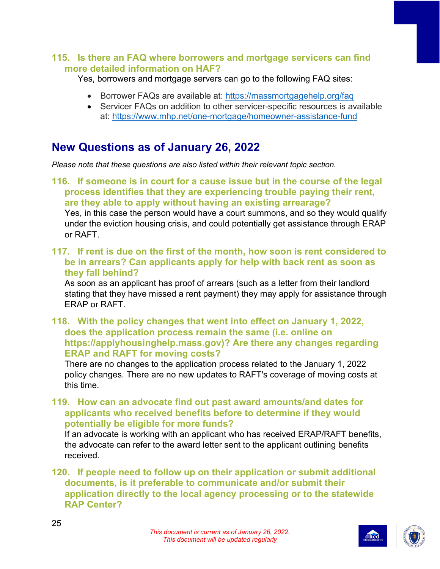#### **115. Is there an FAQ where borrowers and mortgage servicers can find more detailed information on HAF?**

Yes, borrowers and mortgage servers can go to the following FAQ sites:

- Borrower FAQs are available at: [https://massmortgagehelp.org/faq](https://urldefense.com/v3/__https:/massmortgagehelp.org/faq__;!!CUhgQOZqV7M!3RIXZd-dRx1vwSZdDANQV7Pvj-78o71_o4QXSivboBsqmn09AW0li6o32SR_LlZd752t$)
- Servicer FAQs on addition to other servicer-specific resources is available at:<https://www.mhp.net/one-mortgage/homeowner-assistance-fund>

## <span id="page-25-0"></span>**New Questions as of January 26, 2022**

*Please note that these questions are also listed within their relevant topic section.*

**116. If someone is in court for a cause issue but in the course of the legal process identifies that they are experiencing trouble paying their rent, are they able to apply without having an existing arrearage?** Yes, in this case the person would have a court summons, and so they would qualify under the eviction housing crisis, and could potentially get assistance through ERAP or RAFT.

**117. If rent is due on the first of the month, how soon is rent considered to be in arrears? Can applicants apply for help with back rent as soon as they fall behind?**

As soon as an applicant has proof of arrears (such as a letter from their landlord stating that they have missed a rent payment) they may apply for assistance through ERAP or RAFT.

**118. With the policy changes that went into effect on January 1, 2022, does the application process remain the same (i.e. online on https://applyhousinghelp.mass.gov)? Are there any changes regarding ERAP and RAFT for moving costs?**

There are no changes to the application process related to the January 1, 2022 policy changes. There are no new updates to RAFT's coverage of moving costs at this time.

**119. How can an advocate find out past award amounts/and dates for applicants who received benefits before to determine if they would potentially be eligible for more funds?**

If an advocate is working with an applicant who has received ERAP/RAFT benefits, the advocate can refer to the award letter sent to the applicant outlining benefits received.

#### **120. If people need to follow up on their application or submit additional documents, is it preferable to communicate and/or submit their application directly to the local agency processing or to the statewide RAP Center?**



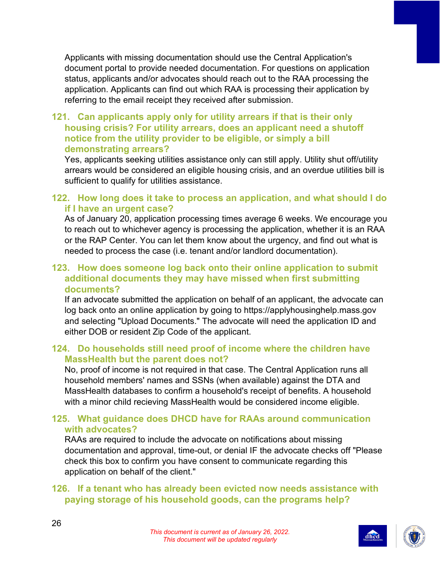Applicants with missing documentation should use the Central Application's document portal to provide needed documentation. For questions on application status, applicants and/or advocates should reach out to the RAA processing the application. Applicants can find out which RAA is processing their application by referring to the email receipt they received after submission.

#### **121. Can applicants apply only for utility arrears if that is their only housing crisis? For utility arrears, does an applicant need a shutoff notice from the utility provider to be eligible, or simply a bill demonstrating arrears?**

Yes, applicants seeking utilities assistance only can still apply. Utility shut off/utility arrears would be considered an eligible housing crisis, and an overdue utilities bill is sufficient to qualify for utilities assistance.

#### **122. How long does it take to process an application, and what should I do if I have an urgent case?**

As of January 20, application processing times average 6 weeks. We encourage you to reach out to whichever agency is processing the application, whether it is an RAA or the RAP Center. You can let them know about the urgency, and find out what is needed to process the case (i.e. tenant and/or landlord documentation).

#### **123. How does someone log back onto their online application to submit additional documents they may have missed when first submitting documents?**

If an advocate submitted the application on behalf of an applicant, the advocate can log back onto an online application by going to https://applyhousinghelp.mass.gov and selecting "Upload Documents." The advocate will need the application ID and either DOB or resident Zip Code of the applicant.

#### **124. Do households still need proof of income where the children have MassHealth but the parent does not?**

No, proof of income is not required in that case. The Central Application runs all household members' names and SSNs (when available) against the DTA and MassHealth databases to confirm a household's receipt of benefits. A household with a minor child recieving MassHealth would be considered income eligible.

#### **125. What guidance does DHCD have for RAAs around communication with advocates?**

RAAs are required to include the advocate on notifications about missing documentation and approval, time-out, or denial IF the advocate checks off "Please check this box to confirm you have consent to communicate regarding this application on behalf of the client."

#### **126. If a tenant who has already been evicted now needs assistance with paying storage of his household goods, can the programs help?**